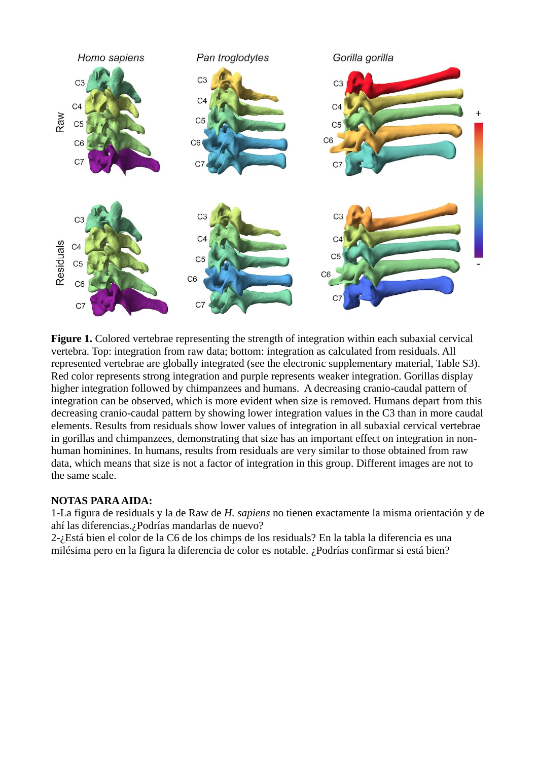

Figure 1. Colored vertebrae representing the strength of integration within each subaxial cervical vertebra. Top: integration from raw data; bottom: integration as calculated from residuals. All represented vertebrae are globally integrated (see the electronic supplementary material, Table S3). Red color represents strong integration and purple represents weaker integration. Gorillas display higher integration followed by chimpanzees and humans. A decreasing cranio-caudal pattern of integration can be observed, which is more evident when size is removed. Humans depart from this decreasing cranio-caudal pattern by showing lower integration values in the C3 than in more caudal elements. Results from residuals show lower values of integration in all subaxial cervical vertebrae in gorillas and chimpanzees, demonstrating that size has an important effect on integration in nonhuman hominines. In humans, results from residuals are very similar to those obtained from raw data, which means that size is not a factor of integration in this group. Different images are not to the same scale.

## **NOTAS PARA AIDA:**

1-La figura de residuals y la de Raw de *H. sapiens* no tienen exactamente la misma orientación y de ahí las diferencias.¿Podrías mandarlas de nuevo?

2-¿Está bien el color de la C6 de los chimps de los residuals? En la tabla la diferencia es una milésima pero en la figura la diferencia de color es notable. ¿Podrías confirmar si está bien?